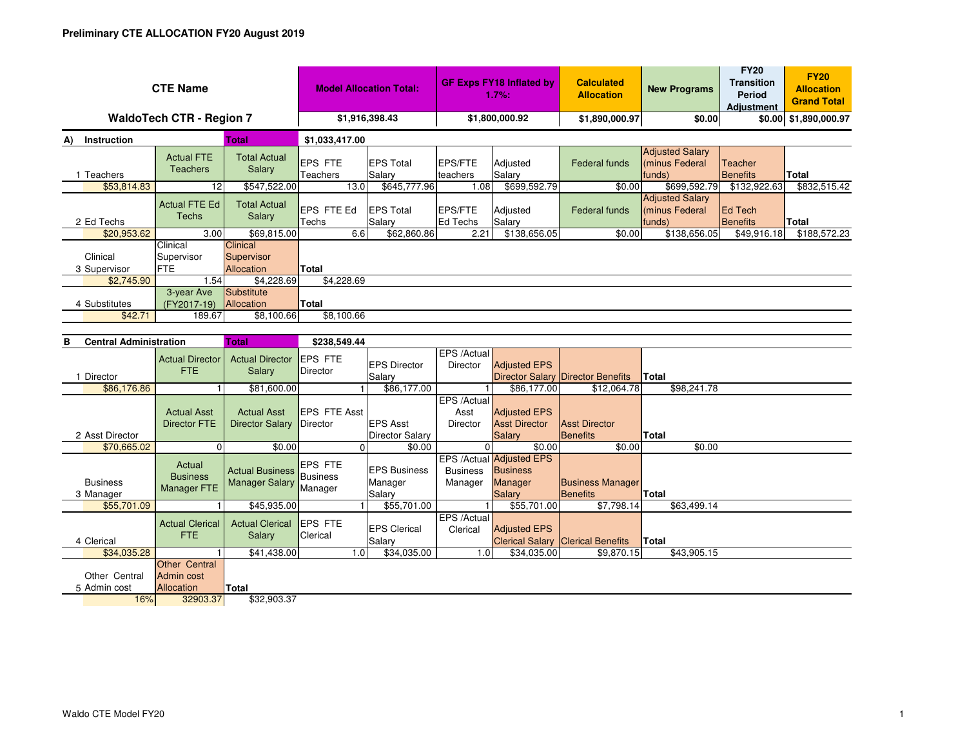| <b>CTE Name</b>                    |                                                 | <b>Model Allocation Total:</b>                  |                                       | <b>GF Exps FY18 Inflated by</b><br>1.7%:      |                                        | <b>Calculated</b><br><b>Allocation</b>                                              | <b>New Programs</b>                      | <b>FY20</b><br><b>Transition</b><br><b>Period</b><br><b>Adiustment</b> | <b>FY20</b><br><b>Allocation</b><br><b>Grand Total</b> |                       |  |  |
|------------------------------------|-------------------------------------------------|-------------------------------------------------|---------------------------------------|-----------------------------------------------|----------------------------------------|-------------------------------------------------------------------------------------|------------------------------------------|------------------------------------------------------------------------|--------------------------------------------------------|-----------------------|--|--|
| <b>WaldoTech CTR - Region 7</b>    |                                                 |                                                 | \$1,916,398.43                        |                                               | \$1,800,000.92                         |                                                                                     | \$1,890,000.97                           | \$0.00                                                                 |                                                        | \$0.00 \$1,890,000.97 |  |  |
| Instruction<br><b>Total</b><br>A)  |                                                 |                                                 | \$1,033,417.00                        |                                               |                                        |                                                                                     |                                          |                                                                        |                                                        |                       |  |  |
| 1 Teachers                         | <b>Actual FTE</b><br><b>Teachers</b>            | <b>Total Actual</b><br>Salary                   | <b>EPS FTE</b><br>Teachers            | <b>EPS Total</b><br>Salary                    | EPS/FTE<br>teachers                    | Adjusted<br>Salary                                                                  | <b>Federal funds</b>                     | <b>Adjusted Salary</b><br>(minus Federal<br>funds)                     | Teacher<br><b>Benefits</b>                             | <b>Total</b>          |  |  |
| \$53,814.83                        | 12                                              | \$547,522.00                                    | 13.0                                  | \$645,777.96                                  | 1.08                                   | \$699,592.79                                                                        | \$0.00                                   | \$699,592.79                                                           | \$132,922.63                                           | \$832,515.42          |  |  |
| 2 Ed Techs                         | <b>Actual FTE Ed</b><br><b>Techs</b>            | <b>Total Actual</b><br>Salary                   | EPS FTE Ed<br>Techs                   | <b>EPS Total</b><br>Salary                    | EPS/FTE<br>Ed Techs                    | Adjusted<br>Salary                                                                  | <b>Federal funds</b>                     | <b>Adjusted Salary</b><br>(minus Federal<br>funds)                     | <b>Ed Tech</b><br><b>Benefits</b>                      | Total                 |  |  |
| \$20,953.62                        | 3.00                                            | \$69,815.00                                     | 6.6                                   | \$62,860.86                                   | 2.21                                   | \$138,656.05                                                                        | \$0.00                                   | \$138,656.05                                                           | \$49,916.18                                            | \$188,572.23          |  |  |
| Clinical<br>3 Supervisor           | Clinical<br>Supervisor<br><b>FTE</b>            | Clinical<br>Supervisor<br>Allocation            | Total                                 |                                               |                                        |                                                                                     |                                          |                                                                        |                                                        |                       |  |  |
| \$2,745.90                         | 1.54                                            | \$4,228.69                                      | \$4,228.69                            |                                               |                                        |                                                                                     |                                          |                                                                        |                                                        |                       |  |  |
| 4 Substitutes                      | 3-year Ave<br>(FY2017-19)                       | Substitute<br>Allocation                        | Total                                 |                                               |                                        |                                                                                     |                                          |                                                                        |                                                        |                       |  |  |
| \$42.71                            | 189.67                                          | \$8,100.66                                      | \$8,100.66                            |                                               |                                        |                                                                                     |                                          |                                                                        |                                                        |                       |  |  |
|                                    |                                                 |                                                 |                                       |                                               |                                        |                                                                                     |                                          |                                                                        |                                                        |                       |  |  |
| <b>Central Administration</b><br>в |                                                 | <b>Total</b>                                    | \$238,549.44                          |                                               |                                        |                                                                                     |                                          |                                                                        |                                                        |                       |  |  |
| 1 Director                         | <b>Actual Director</b><br><b>FTE</b>            | <b>Actual Director</b><br>Salary                | <b>EPS FTE</b><br>Director            | <b>EPS Director</b><br>Salary                 | EPS /Actual<br><b>Director</b>         | <b>Adjusted EPS</b>                                                                 | <b>Director Salary Director Benefits</b> | Total                                                                  |                                                        |                       |  |  |
| \$86,176.86                        |                                                 | \$81,600.00                                     |                                       | \$86,177.00                                   |                                        | \$86,177.00                                                                         | \$12,064.78                              | \$98,241.78                                                            |                                                        |                       |  |  |
| 2 Asst Director                    | <b>Actual Asst</b><br><b>Director FTE</b>       | <b>Actual Asst</b><br><b>Director Salary</b>    | <b>EPS FTE Asst</b><br>Director       | <b>EPS Asst</b><br>Director Salary            | EPS /Actual<br>Asst<br><b>Director</b> | <b>Adjusted EPS</b><br><b>Asst Director</b><br>Salary                               | <b>Asst Director</b><br><b>Benefits</b>  | <b>Total</b>                                                           |                                                        |                       |  |  |
| \$70.665.02                        | $\Omega$                                        | \$0.00                                          | $\Omega$                              | \$0.00                                        | $\Omega$                               | \$0.00                                                                              | \$0.00                                   | \$0.00                                                                 |                                                        |                       |  |  |
| <b>Business</b><br>0.11            | Actual<br><b>Business</b><br><b>Manager FTE</b> | <b>Actual Business</b><br><b>Manager Salary</b> | EPS FTE<br><b>Business</b><br>Manager | <b>EPS Business</b><br>Manager<br>$O = 1 - m$ | <b>Business</b><br>Manager             | <b>EPS /Actual Adjusted EPS</b><br><b>Business</b><br><b>Manager</b><br>$O = 1 - m$ | <b>Business Manager</b><br>$D = -1$      | $2.1 - 1.7$                                                            |                                                        |                       |  |  |

| <b>Business</b> | <b>DUSILIESS</b><br><b>Manager FTE</b> | <b>Manager Salary</b>           | <b>PUSILIESS</b><br>Manager |                 | Manager              | Manager     | Manager             | <b>Business Manager</b>                  |              |
|-----------------|----------------------------------------|---------------------------------|-----------------------------|-----------------|----------------------|-------------|---------------------|------------------------------------------|--------------|
| 3 Manager       |                                        |                                 |                             |                 | Salary               |             | <b>Salary</b>       | <b>Benefits</b>                          | <b>Total</b> |
| \$55,701.09     |                                        | \$45,935.00                     |                             |                 | \$55,701.00          |             | \$55,701.00         | \$7,798.14                               | \$63,499.14  |
|                 | <b>Actual Clerical</b>                 | <b>Actual Clerical LEPS FTE</b> |                             |                 |                      | EPS /Actual |                     |                                          |              |
|                 | FTE.                                   | Salary                          | Clerical                    |                 | <b>IEPS Clerical</b> | Clerical    | <b>Adjusted EPS</b> |                                          |              |
| 4 Clerical      |                                        |                                 |                             |                 | Salary               |             |                     | <b>Clerical Salary Clerical Benefits</b> | Total        |
| \$34,035.28     |                                        | \$41,438.00                     |                             | .0 <sub>1</sub> | \$34,035.00          | ا 0. ،      | \$34,035.00         | \$9,870.15                               | \$43,905.15  |
|                 | Other Central                          |                                 |                             |                 |                      |             |                     |                                          |              |
| Other Central   | Admin cost                             |                                 |                             |                 |                      |             |                     |                                          |              |
| 5 Admin cost    | <b>Allocation</b>                      | <b>Total</b>                    |                             |                 |                      |             |                     |                                          |              |
|                 | 32903.37<br>16%                        | \$32,903.37                     |                             |                 |                      |             |                     |                                          |              |
|                 |                                        |                                 |                             |                 |                      |             |                     |                                          |              |